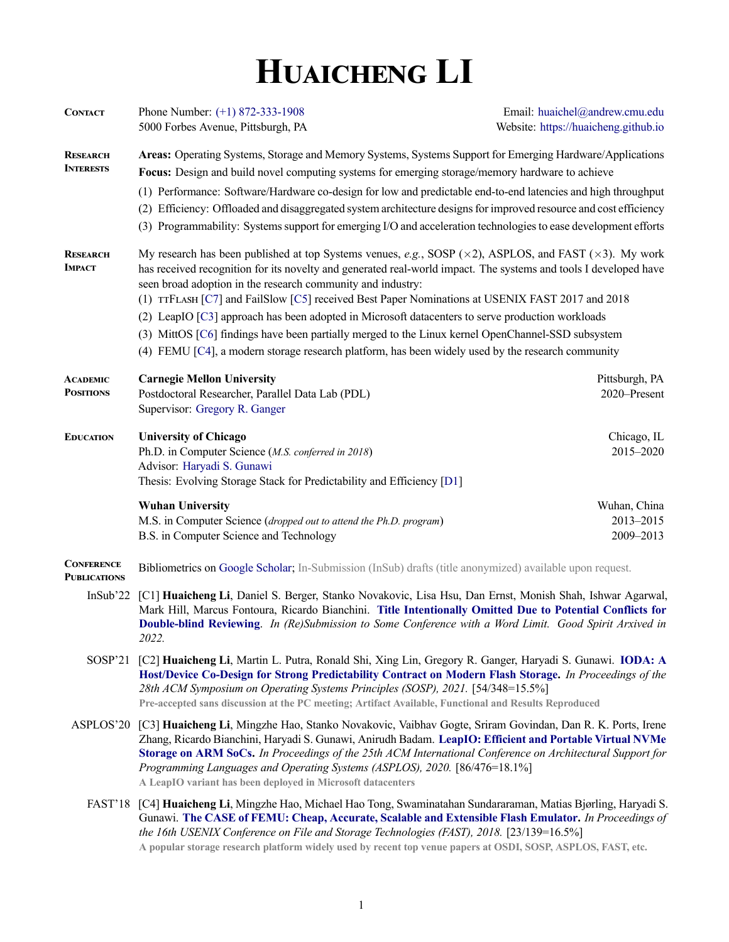# **HUAICHENG LI**

<span id="page-0-3"></span><span id="page-0-2"></span><span id="page-0-1"></span><span id="page-0-0"></span>

| <b>CONTACT</b>                           | Phone Number: $(+1)$ 872-333-1908<br>5000 Forbes Avenue, Pittsburgh, PA                                                                                                                                                                                                                                                                                                                                                                                                                                                                                                                                                                                                                                                     | Email: huaichel@andrew.cmu.edu<br>Website: https://huaicheng.github.io |  |
|------------------------------------------|-----------------------------------------------------------------------------------------------------------------------------------------------------------------------------------------------------------------------------------------------------------------------------------------------------------------------------------------------------------------------------------------------------------------------------------------------------------------------------------------------------------------------------------------------------------------------------------------------------------------------------------------------------------------------------------------------------------------------------|------------------------------------------------------------------------|--|
| <b>RESEARCH</b><br><b>INTERESTS</b>      | Areas: Operating Systems, Storage and Memory Systems, Systems Support for Emerging Hardware/Applications<br>Focus: Design and build novel computing systems for emerging storage/memory hardware to achieve                                                                                                                                                                                                                                                                                                                                                                                                                                                                                                                 |                                                                        |  |
|                                          | (1) Performance: Software/Hardware co-design for low and predictable end-to-end latencies and high throughput<br>(2) Efficiency: Offloaded and disaggregated system architecture designs for improved resource and cost efficiency<br>(3) Programmability: Systems support for emerging I/O and acceleration technologies to ease development efforts                                                                                                                                                                                                                                                                                                                                                                       |                                                                        |  |
| <b>RESEARCH</b><br>Імраст                | My research has been published at top Systems venues, e.g., SOSP ( $\times$ 2), ASPLOS, and FAST ( $\times$ 3). My work<br>has received recognition for its novelty and generated real-world impact. The systems and tools I developed have<br>seen broad adoption in the research community and industry:<br>(1) TTFLASH [C7] and FailSlow [C5] received Best Paper Nominations at USENIX FAST 2017 and 2018<br>(2) LeapIO [C3] approach has been adopted in Microsoft datacenters to serve production workloads<br>(3) MittOS [C6] findings have been partially merged to the Linux kernel OpenChannel-SSD subsystem<br>(4) FEMU [C4], a modern storage research platform, has been widely used by the research community |                                                                        |  |
| <b>ACADEMIC</b><br><b>POSITIONS</b>      | <b>Carnegie Mellon University</b><br>Postdoctoral Researcher, Parallel Data Lab (PDL)<br>Supervisor: Gregory R. Ganger                                                                                                                                                                                                                                                                                                                                                                                                                                                                                                                                                                                                      | Pittsburgh, PA<br>2020-Present                                         |  |
| <b>EDUCATION</b>                         | <b>University of Chicago</b><br>Ph.D. in Computer Science (M.S. conferred in 2018)<br>Advisor: Haryadi S. Gunawi<br>Thesis: Evolving Storage Stack for Predictability and Efficiency [D1]                                                                                                                                                                                                                                                                                                                                                                                                                                                                                                                                   | Chicago, IL<br>2015-2020                                               |  |
|                                          | <b>Wuhan University</b><br>M.S. in Computer Science (dropped out to attend the Ph.D. program)<br>B.S. in Computer Science and Technology                                                                                                                                                                                                                                                                                                                                                                                                                                                                                                                                                                                    | Wuhan, China<br>2013-2015<br>2009-2013                                 |  |
| <b>CONFERENCE</b><br><b>PUBLICATIONS</b> | Bibliometrics on Google Scholar; In-Submission (InSub) drafts (title anonymized) available upon request.                                                                                                                                                                                                                                                                                                                                                                                                                                                                                                                                                                                                                    |                                                                        |  |
| InSub'22                                 | [C1] Huaicheng Li, Daniel S. Berger, Stanko Novakovic, Lisa Hsu, Dan Ernst, Monish Shah, Ishwar Agarwal,<br>Mark Hill, Marcus Fontoura, Ricardo Bianchini. Title Intentionally Omitted Due to Potential Conflicts for<br>Double-blind Reviewing. In (Re)Submission to Some Conference with a Word Limit. Good Spirit Arxived in<br>2022.                                                                                                                                                                                                                                                                                                                                                                                    |                                                                        |  |
|                                          | SOSP'21 [C2] Huaicheng Li, Martin L. Putra, Ronald Shi, Xing Lin, Gregory R. Ganger, Haryadi S. Gunawi. IODA: A<br>Host/Device Co-Design for Strong Predictability Contract on Modern Flash Storage. In Proceedings of the<br>28th ACM Symposium on Operating Systems Principles (SOSP), 2021. [54/348=15.5%]<br>Pre-accepted sans discussion at the PC meeting; Artifact Available, Functional and Results Reproduced                                                                                                                                                                                                                                                                                                      |                                                                        |  |
|                                          | ASPLOS'20 [C3] Huaicheng Li, Mingzhe Hao, Stanko Novakovic, Vaibhav Gogte, Sriram Govindan, Dan R. K. Ports, Irene<br>Zhang, Ricardo Bianchini, Haryadi S. Gunawi, Anirudh Badam. LeapIO: Efficient and Portable Virtual NVMe<br>Storage on ARM SoCs. In Proceedings of the 25th ACM International Conference on Architectural Support for<br>Programming Languages and Operating Systems (ASPLOS), 2020. [86/476=18.1%]<br>A LeapIO variant has been deployed in Microsoft datacenters                                                                                                                                                                                                                                     |                                                                        |  |
| FAST'18                                  | [C4] Huaicheng Li, Mingzhe Hao, Michael Hao Tong, Swaminatahan Sundararaman, Matias Bjørling, Haryadi S.<br>Gunawi. The CASE of FEMU: Cheap, Accurate, Scalable and Extensible Flash Emulator. In Proceedings of<br>the 16th USENIX Conference on File and Storage Technologies (FAST), 2018. [23/139=16.5%]<br>A popular storage research platform widely used by recent top venue papers at OSDI, SOSP, ASPLOS, FAST, etc.                                                                                                                                                                                                                                                                                                |                                                                        |  |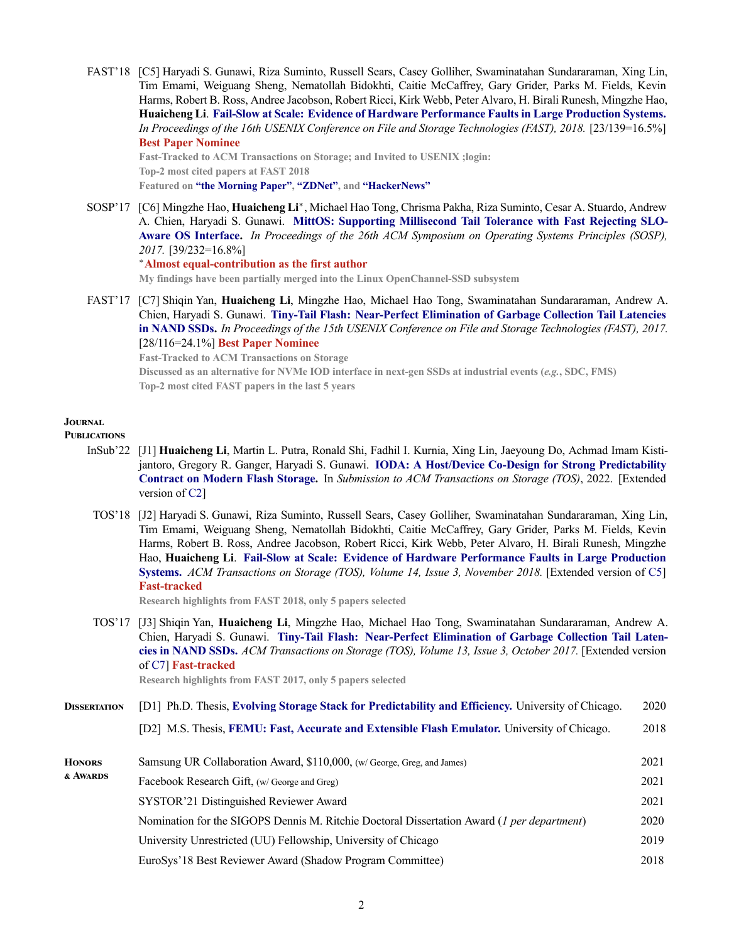<span id="page-1-1"></span>FAST'18 [C5] Haryadi S. Gunawi, Riza Suminto, Russell Sears, Casey Golliher, Swaminatahan Sundararaman, Xing Lin, Tim Emami, Weiguang Sheng, Nematollah Bidokhti, Caitie McCaffrey, Gary Grider, Parks M. Fields, Kevin Harms, Robert B. Ross, Andree Jacobson, Robert Ricci, Kirk Webb, Peter Alvaro, H. Birali Runesh, Mingzhe Hao, **Huaicheng Li**. **[Fail-Slow at Scale: Evidence of Hardware Performance Faults in Large Production Systems.](https://huaicheng.github.io/p/fast18-failslow.pdf)** *In Proceedings of the 16th USENIX Conference on File and Storage Technologies (FAST), 2018.* [23/139=16.5%] **Best Paper Nominee**

<span id="page-1-2"></span>**Fast-Tracked to ACM Transactions on Storage; and Invited to USENIX ;login: Top-2 most cited papers at FAST 2018 Featured on ["the Morning Paper"](https://blog.acolyer.org/2018/02/26/fail-slow-at-scale-evidence-of-hardware-performance-faults-in-large-production-systems/), ["ZDNet"](https://www.zdnet.com/article/how-clouds-fail-slow/), and ["HackerNews"](https://news.ycombinator.com/item?id=16463714)**

SOSP'17 [C6] Mingzhe Hao, **Huaicheng Li***<sup>∗</sup>* , Michael Hao Tong, Chrisma Pakha, Riza Suminto, Cesar A. Stuardo, Andrew A. Chien, Haryadi S. Gunawi. **[MittOS: Supporting Millisecond Tail Tolerance with Fast Rejecting SLO-](https://huaicheng.github.io/p/sosp17-mittos.pdf)[Aware OS Interface](https://huaicheng.github.io/p/sosp17-mittos.pdf).** *In Proceedings of the 26th ACM Symposium on Operating Systems Principles (SOSP), 2017.* [39/232=16.8%]

*<sup>∗</sup>***Almost equal-contribution as the first author**

<span id="page-1-0"></span>**My findings have been partially merged into the Linux OpenChannel-SSD subsystem**

FAST'17 [C7] Shiqin Yan, **Huaicheng Li**, Mingzhe Hao, Michael Hao Tong, Swaminatahan Sundararaman, Andrew A. Chien, Haryadi S. Gunawi. **[Tiny-Tail Flash: Near-Perfect Elimination of Garbage Collection Tail Latencies](https://huaicheng.github.io/p/fast17-ttflash.pdf) [in NAND SSDs.](https://huaicheng.github.io/p/fast17-ttflash.pdf)** *In Proceedings of the 15th USENIX Conference on File and Storage Technologies (FAST), 2017.* [28/116=24.1%] **Best Paper Nominee**

**Fast-Tracked to ACM Transactions on Storage Discussed as an alternative for NVMe IOD interface in next-gen SSDs at industrial events (***e.g.***, SDC, FMS) Top-2 most cited FAST papers in the last 5 years**

## **JOURNAL**

## **PUBLICATIONS**

- InSub'22 [J1] **Huaicheng Li**, Martin L. Putra, Ronald Shi, Fadhil I. Kurnia, Xing Lin, Jaeyoung Do, Achmad Imam Kistijantoro, Gregory R. Ganger, Haryadi S. Gunawi. **[IODA: A Host/Device Co-Design for Strong Predictability](https://huaicheng.github.io) [Contract on Modern Flash Storage.](https://huaicheng.github.io)** In *Submission to ACM Transactions on Storage (TOS)*, 2022. [Extended version of [C2\]](#page-0-2)
	- TOS'18 [J2] Haryadi S. Gunawi, Riza Suminto, Russell Sears, Casey Golliher, Swaminatahan Sundararaman, Xing Lin, Tim Emami, Weiguang Sheng, Nematollah Bidokhti, Caitie McCaffrey, Gary Grider, Parks M. Fields, Kevin Harms, Robert B. Ross, Andree Jacobson, Robert Ricci, Kirk Webb, Peter Alvaro, H. Birali Runesh, Mingzhe Hao, **Huaicheng Li**. **[Fail-Slow at Scale: Evidence of Hardware Performance Faults in Large Production](https://huaicheng.github.io/p/tos18-failslow.pdf) [Systems.](https://huaicheng.github.io/p/tos18-failslow.pdf)** *ACM Transactions on Storage (TOS), Volume 14, Issue 3, November 2018.* [Extended version of [C5](#page-1-1)] **Fast-tracked**

<span id="page-1-4"></span>**Research highlights from FAST 2018, only 5 papers selected**

TOS'17 [J3] Shiqin Yan, **Huaicheng Li**, Mingzhe Hao, Michael Hao Tong, Swaminatahan Sundararaman, Andrew A. Chien, Haryadi S. Gunawi. **[Tiny-Tail Flash: Near-Perfect Elimination of Garbage Collection Tail Laten](https://huaicheng.github.io/p/tos17-ttflash.pdf)[cies in NAND SSDs.](https://huaicheng.github.io/p/tos17-ttflash.pdf)** *ACM Transactions on Storage (TOS), Volume 13, Issue 3, October 2017.* [Extended version of [C7\]](#page-1-0) **Fast-tracked**

<span id="page-1-3"></span>**Research highlights from FAST 2017, only 5 papers selected**

| <b>DISSERTATION</b>       | [D1] Ph.D. Thesis, Evolving Storage Stack for Predictability and Efficiency. University of Chicago. |      |
|---------------------------|-----------------------------------------------------------------------------------------------------|------|
|                           | [D2] M.S. Thesis, FEMU: Fast, Accurate and Extensible Flash Emulator. University of Chicago.        | 2018 |
| <b>HONORS</b><br>& AWARDS | Samsung UR Collaboration Award, \$110,000, (w/ George, Greg, and James)                             | 2021 |
|                           | Facebook Research Gift, (w/ George and Greg)                                                        | 2021 |
|                           | SYSTOR'21 Distinguished Reviewer Award                                                              | 2021 |
|                           | Nomination for the SIGOPS Dennis M. Ritchie Doctoral Dissertation Award (1 per department)          | 2020 |
|                           | University Unrestricted (UU) Fellowship, University of Chicago                                      | 2019 |
|                           | EuroSys'18 Best Reviewer Award (Shadow Program Committee)                                           | 2018 |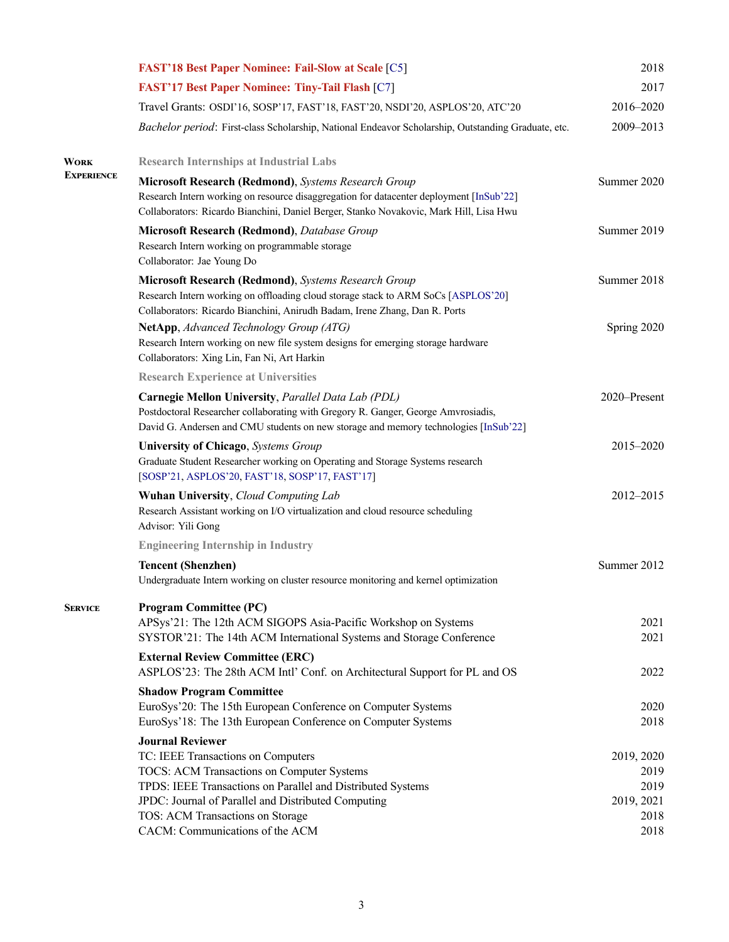|                   | <b>FAST'18 Best Paper Nominee: Fail-Slow at Scale [C5]</b>                                                                                                                                                                                | 2018               |
|-------------------|-------------------------------------------------------------------------------------------------------------------------------------------------------------------------------------------------------------------------------------------|--------------------|
|                   | FAST'17 Best Paper Nominee: Tiny-Tail Flash [C7]                                                                                                                                                                                          | 2017               |
|                   | Travel Grants: OSDI'16, SOSP'17, FAST'18, FAST'20, NSDI'20, ASPLOS'20, ATC'20                                                                                                                                                             | 2016-2020          |
|                   | Bachelor period: First-class Scholarship, National Endeavor Scholarship, Outstanding Graduate, etc.                                                                                                                                       | 2009-2013          |
| WORK              | <b>Research Internships at Industrial Labs</b>                                                                                                                                                                                            |                    |
| <b>EXPERIENCE</b> | Microsoft Research (Redmond), Systems Research Group<br>Research Intern working on resource disaggregation for datacenter deployment [InSub'22]<br>Collaborators: Ricardo Bianchini, Daniel Berger, Stanko Novakovic, Mark Hill, Lisa Hwu | Summer 2020        |
|                   | <b>Microsoft Research (Redmond)</b> , Database Group<br>Research Intern working on programmable storage<br>Collaborator: Jae Young Do                                                                                                     | Summer 2019        |
|                   | Microsoft Research (Redmond), Systems Research Group<br>Research Intern working on offloading cloud storage stack to ARM SoCs [ASPLOS'20]<br>Collaborators: Ricardo Bianchini, Anirudh Badam, Irene Zhang, Dan R. Ports                   | Summer 2018        |
|                   | NetApp, Advanced Technology Group (ATG)<br>Research Intern working on new file system designs for emerging storage hardware<br>Collaborators: Xing Lin, Fan Ni, Art Harkin                                                                | Spring 2020        |
|                   | <b>Research Experience at Universities</b>                                                                                                                                                                                                |                    |
|                   | Carnegie Mellon University, Parallel Data Lab (PDL)<br>Postdoctoral Researcher collaborating with Gregory R. Ganger, George Amvrosiadis,<br>David G. Andersen and CMU students on new storage and memory technologies [InSub'22]          | 2020-Present       |
|                   | <b>University of Chicago</b> , Systems Group<br>Graduate Student Researcher working on Operating and Storage Systems research<br>[SOSP'21, ASPLOS'20, FAST'18, SOSP'17, FAST'17]                                                          | 2015-2020          |
|                   | Wuhan University, Cloud Computing Lab<br>Research Assistant working on I/O virtualization and cloud resource scheduling<br>Advisor: Yili Gong                                                                                             | 2012-2015          |
|                   | <b>Engineering Internship in Industry</b>                                                                                                                                                                                                 |                    |
|                   | <b>Tencent (Shenzhen)</b><br>Undergraduate Intern working on cluster resource monitoring and kernel optimization                                                                                                                          | Summer 2012        |
| <b>SERVICE</b>    | <b>Program Committee (PC)</b>                                                                                                                                                                                                             |                    |
|                   | APSys'21: The 12th ACM SIGOPS Asia-Pacific Workshop on Systems                                                                                                                                                                            | 2021               |
|                   | SYSTOR'21: The 14th ACM International Systems and Storage Conference                                                                                                                                                                      | 2021               |
|                   | <b>External Review Committee (ERC)</b><br>ASPLOS'23: The 28th ACM Intl' Conf. on Architectural Support for PL and OS                                                                                                                      | 2022               |
|                   | <b>Shadow Program Committee</b><br>EuroSys'20: The 15th European Conference on Computer Systems<br>EuroSys'18: The 13th European Conference on Computer Systems                                                                           | 2020<br>2018       |
|                   | <b>Journal Reviewer</b>                                                                                                                                                                                                                   |                    |
|                   | TC: IEEE Transactions on Computers                                                                                                                                                                                                        | 2019, 2020         |
|                   | TOCS: ACM Transactions on Computer Systems                                                                                                                                                                                                | 2019               |
|                   | TPDS: IEEE Transactions on Parallel and Distributed Systems<br>JPDC: Journal of Parallel and Distributed Computing                                                                                                                        | 2019<br>2019, 2021 |
|                   | TOS: ACM Transactions on Storage                                                                                                                                                                                                          | 2018               |
|                   | CACM: Communications of the ACM                                                                                                                                                                                                           | 2018               |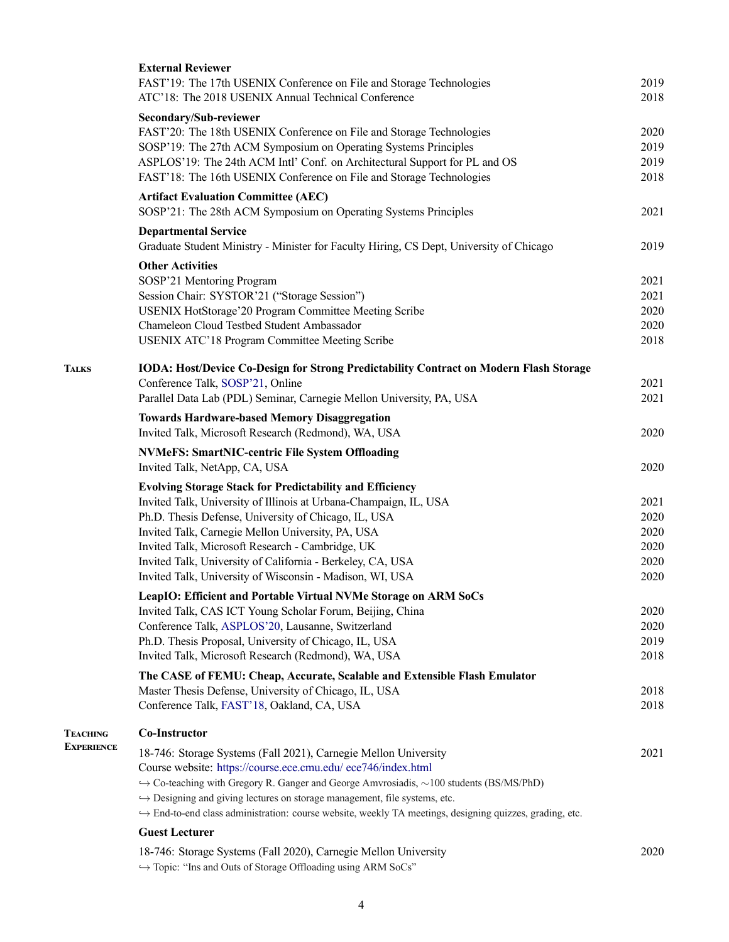|                   | <b>External Reviewer</b>                                                                                                                           |              |
|-------------------|----------------------------------------------------------------------------------------------------------------------------------------------------|--------------|
|                   | FAST'19: The 17th USENIX Conference on File and Storage Technologies                                                                               | 2019         |
|                   | ATC'18: The 2018 USENIX Annual Technical Conference                                                                                                | 2018         |
|                   | Secondary/Sub-reviewer                                                                                                                             |              |
|                   | FAST'20: The 18th USENIX Conference on File and Storage Technologies                                                                               | 2020         |
|                   | SOSP'19: The 27th ACM Symposium on Operating Systems Principles                                                                                    | 2019<br>2019 |
|                   | ASPLOS'19: The 24th ACM Intl' Conf. on Architectural Support for PL and OS<br>FAST'18: The 16th USENIX Conference on File and Storage Technologies | 2018         |
|                   |                                                                                                                                                    |              |
|                   | <b>Artifact Evaluation Committee (AEC)</b><br>SOSP'21: The 28th ACM Symposium on Operating Systems Principles                                      | 2021         |
|                   | <b>Departmental Service</b><br>Graduate Student Ministry - Minister for Faculty Hiring, CS Dept, University of Chicago                             | 2019         |
|                   | <b>Other Activities</b>                                                                                                                            |              |
|                   | SOSP'21 Mentoring Program                                                                                                                          | 2021         |
|                   | Session Chair: SYSTOR'21 ("Storage Session")                                                                                                       | 2021         |
|                   | USENIX HotStorage'20 Program Committee Meeting Scribe                                                                                              | 2020         |
|                   | Chameleon Cloud Testbed Student Ambassador                                                                                                         | 2020         |
|                   | USENIX ATC'18 Program Committee Meeting Scribe                                                                                                     | 2018         |
| <b>TALKS</b>      | IODA: Host/Device Co-Design for Strong Predictability Contract on Modern Flash Storage                                                             |              |
|                   | Conference Talk, SOSP'21, Online<br>Parallel Data Lab (PDL) Seminar, Carnegie Mellon University, PA, USA                                           | 2021<br>2021 |
|                   |                                                                                                                                                    |              |
|                   | <b>Towards Hardware-based Memory Disaggregation</b><br>Invited Talk, Microsoft Research (Redmond), WA, USA                                         | 2020         |
|                   | <b>NVMeFS: SmartNIC-centric File System Offloading</b>                                                                                             |              |
|                   | Invited Talk, NetApp, CA, USA                                                                                                                      | 2020         |
|                   | <b>Evolving Storage Stack for Predictability and Efficiency</b>                                                                                    |              |
|                   | Invited Talk, University of Illinois at Urbana-Champaign, IL, USA                                                                                  | 2021         |
|                   | Ph.D. Thesis Defense, University of Chicago, IL, USA                                                                                               | 2020         |
|                   | Invited Talk, Carnegie Mellon University, PA, USA                                                                                                  | 2020         |
|                   | Invited Talk, Microsoft Research - Cambridge, UK                                                                                                   | 2020         |
|                   | Invited Talk, University of California - Berkeley, CA, USA                                                                                         | 2020         |
|                   | Invited Talk, University of Wisconsin - Madison, WI, USA                                                                                           | 2020         |
|                   | LeapIO: Efficient and Portable Virtual NVMe Storage on ARM SoCs                                                                                    |              |
|                   | Invited Talk, CAS ICT Young Scholar Forum, Beijing, China                                                                                          | 2020         |
|                   | Conference Talk, ASPLOS'20, Lausanne, Switzerland<br>Ph.D. Thesis Proposal, University of Chicago, IL, USA                                         | 2020<br>2019 |
|                   | Invited Talk, Microsoft Research (Redmond), WA, USA                                                                                                | 2018         |
|                   | The CASE of FEMU: Cheap, Accurate, Scalable and Extensible Flash Emulator                                                                          |              |
|                   | Master Thesis Defense, University of Chicago, IL, USA                                                                                              | 2018         |
|                   | Conference Talk, FAST'18, Oakland, CA, USA                                                                                                         | 2018         |
| <b>TEACHING</b>   | <b>Co-Instructor</b>                                                                                                                               |              |
| <b>EXPERIENCE</b> | 18-746: Storage Systems (Fall 2021), Carnegie Mellon University                                                                                    | 2021         |
|                   | Course website: https://course.ece.cmu.edu/ ece746/index.html                                                                                      |              |
|                   | $\hookrightarrow$ Co-teaching with Gregory R. Ganger and George Amvrosiadis, $\sim$ 100 students (BS/MS/PhD)                                       |              |
|                   | $\hookrightarrow$ Designing and giving lectures on storage management, file systems, etc.                                                          |              |
|                   | $\hookrightarrow$ End-to-end class administration: course website, weekly TA meetings, designing quizzes, grading, etc.                            |              |
|                   | <b>Guest Lecturer</b>                                                                                                                              |              |
|                   | 18-746: Storage Systems (Fall 2020), Carnegie Mellon University                                                                                    | 2020         |
|                   |                                                                                                                                                    |              |

*,→* Topic: "Ins and Outs of Storage Offloading using ARM SoCs"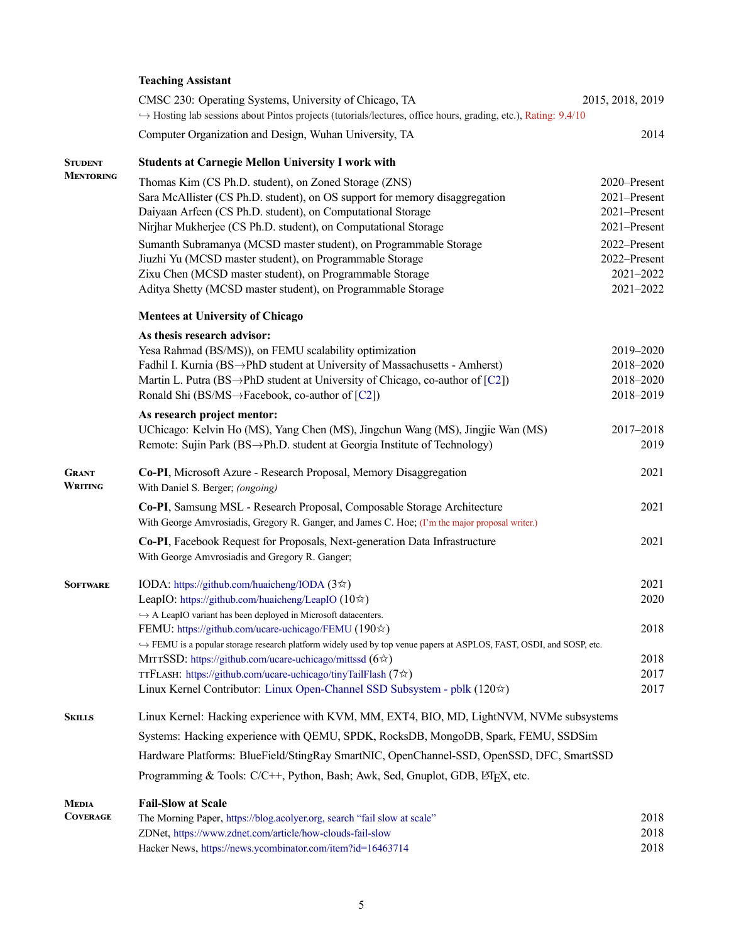|                                 | <b>Teaching Assistant</b>                                                                                                                                                                                                                                                                                                         |                                                              |  |
|---------------------------------|-----------------------------------------------------------------------------------------------------------------------------------------------------------------------------------------------------------------------------------------------------------------------------------------------------------------------------------|--------------------------------------------------------------|--|
|                                 | CMSC 230: Operating Systems, University of Chicago, TA<br>$\rightarrow$ Hosting lab sessions about Pintos projects (tutorials/lectures, office hours, grading, etc.), Rating: 9.4/10                                                                                                                                              | 2015, 2018, 2019                                             |  |
|                                 | Computer Organization and Design, Wuhan University, TA                                                                                                                                                                                                                                                                            | 2014                                                         |  |
| <b>STUDENT</b><br>MENTORING     | <b>Students at Carnegie Mellon University I work with</b>                                                                                                                                                                                                                                                                         |                                                              |  |
|                                 | Thomas Kim (CS Ph.D. student), on Zoned Storage (ZNS)<br>Sara McAllister (CS Ph.D. student), on OS support for memory disaggregation<br>Daiyaan Arfeen (CS Ph.D. student), on Computational Storage<br>Nirjhar Mukherjee (CS Ph.D. student), on Computational Storage                                                             | 2020-Present<br>2021-Present<br>2021-Present<br>2021-Present |  |
|                                 | Sumanth Subramanya (MCSD master student), on Programmable Storage<br>Jiuzhi Yu (MCSD master student), on Programmable Storage<br>Zixu Chen (MCSD master student), on Programmable Storage<br>Aditya Shetty (MCSD master student), on Programmable Storage                                                                         | 2022-Present<br>2022-Present<br>2021-2022<br>2021-2022       |  |
|                                 | <b>Mentees at University of Chicago</b>                                                                                                                                                                                                                                                                                           |                                                              |  |
|                                 | As thesis research advisor:<br>Yesa Rahmad (BS/MS)), on FEMU scalability optimization<br>Fadhil I. Kurnia (BS→PhD student at University of Massachusetts - Amherst)<br>Martin L. Putra (BS $\rightarrow$ PhD student at University of Chicago, co-author of [C2])<br>Ronald Shi (BS/MS $\rightarrow$ Facebook, co-author of [C2]) | 2019-2020<br>2018-2020<br>2018-2020<br>2018-2019             |  |
|                                 | As research project mentor:<br>UChicago: Kelvin Ho (MS), Yang Chen (MS), Jingchun Wang (MS), Jingjie Wan (MS)<br>Remote: Sujin Park (BS→Ph.D. student at Georgia Institute of Technology)                                                                                                                                         | 2017-2018<br>2019                                            |  |
| <b>GRANT</b><br>WRITING         | Co-PI, Microsoft Azure - Research Proposal, Memory Disaggregation<br>With Daniel S. Berger; (ongoing)                                                                                                                                                                                                                             | 2021                                                         |  |
|                                 | Co-PI, Samsung MSL - Research Proposal, Composable Storage Architecture<br>With George Amvrosiadis, Gregory R. Ganger, and James C. Hoe; (I'm the major proposal writer.)                                                                                                                                                         | 2021                                                         |  |
|                                 | Co-PI, Facebook Request for Proposals, Next-generation Data Infrastructure<br>With George Amvrosiadis and Gregory R. Ganger;                                                                                                                                                                                                      | 2021                                                         |  |
| <b>SOFTWARE</b>                 | IODA: https://github.com/huaicheng/IODA (3☆)<br>LeapIO: https://github.com/huaicheng/LeapIO (10☆)<br>$\hookrightarrow$ A LeapIO variant has been deployed in Microsoft datacenters.                                                                                                                                               | 2021<br>2020                                                 |  |
|                                 | FEMU: https://github.com/ucare-uchicago/FEMU (190 $\approx$ )<br>← FEMU is a popular storage research platform widely used by top venue papers at ASPLOS, FAST, OSDI, and SOSP, etc.                                                                                                                                              | 2018                                                         |  |
|                                 | MITTSSD: https://github.com/ucare-uchicago/mittssd $(6\%)$<br>TTFLASH: https://github.com/ucare-uchicago/tinyTailFlash (7 x)<br>Linux Kernel Contributor: Linux Open-Channel SSD Subsystem - pblk $(120\%)$                                                                                                                       | 2018<br>2017<br>2017                                         |  |
| <b>SKILLS</b>                   | Linux Kernel: Hacking experience with KVM, MM, EXT4, BIO, MD, LightNVM, NVMe subsystems                                                                                                                                                                                                                                           |                                                              |  |
|                                 | Systems: Hacking experience with QEMU, SPDK, RocksDB, MongoDB, Spark, FEMU, SSDSim                                                                                                                                                                                                                                                |                                                              |  |
|                                 | Hardware Platforms: BlueField/StingRay SmartNIC, OpenChannel-SSD, OpenSSD, DFC, SmartSSD<br>Programming & Tools: C/C++, Python, Bash; Awk, Sed, Gnuplot, GDB, L <sup>AT</sup> FX, etc.                                                                                                                                            |                                                              |  |
| <b>MEDIA</b><br><b>COVERAGE</b> | <b>Fail-Slow at Scale</b><br>The Morning Paper, https://blog.acolyer.org, search "fail slow at scale"<br>ZDNet https://www.zdnet.com/article/how-clouds-fail-slow                                                                                                                                                                 | 2018<br>2018                                                 |  |

ZDNet, <https://www.zdnet.com/article/how-clouds-fail-slow> 2018<br>
Hacker News, https://news.ycombinator.com/item?id=16463714 2018 Hacker News, <https://news.ycombinator.com/item?id=16463714>